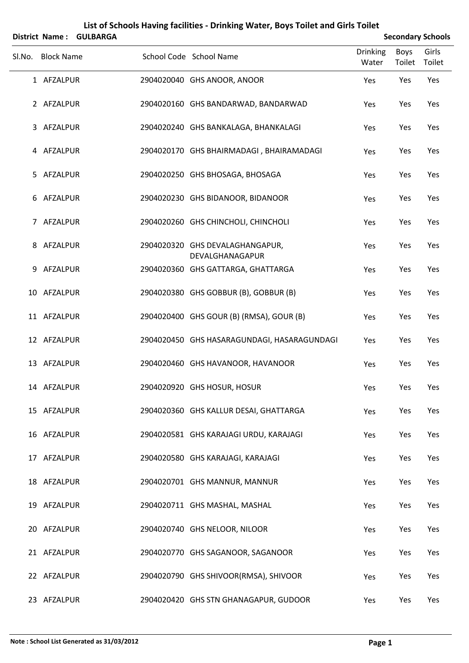|        |                   | District Name: GULBARGA |                                                    |                          |                       | <b>Secondary Schools</b> |
|--------|-------------------|-------------------------|----------------------------------------------------|--------------------------|-----------------------|--------------------------|
| SI.No. | <b>Block Name</b> |                         | School Code School Name                            | <b>Drinking</b><br>Water | <b>Boys</b><br>Toilet | Girls<br>Toilet          |
|        | 1 AFZALPUR        |                         | 2904020040 GHS ANOOR, ANOOR                        | Yes                      | Yes                   | Yes                      |
|        | 2 AFZALPUR        |                         | 2904020160 GHS BANDARWAD, BANDARWAD                | Yes                      | Yes                   | Yes                      |
|        | 3 AFZALPUR        |                         | 2904020240 GHS BANKALAGA, BHANKALAGI               | Yes                      | Yes                   | Yes                      |
|        | 4 AFZALPUR        |                         | 2904020170 GHS BHAIRMADAGI, BHAIRAMADAGI           | Yes                      | Yes                   | Yes                      |
|        | 5 AFZALPUR        |                         | 2904020250 GHS BHOSAGA, BHOSAGA                    | Yes                      | Yes                   | Yes                      |
|        | 6 AFZALPUR        |                         | 2904020230 GHS BIDANOOR, BIDANOOR                  | Yes                      | Yes                   | Yes                      |
|        | 7 AFZALPUR        |                         | 2904020260 GHS CHINCHOLI, CHINCHOLI                | Yes                      | Yes                   | Yes                      |
|        | 8 AFZALPUR        |                         | 2904020320 GHS DEVALAGHANGAPUR,<br>DEVALGHANAGAPUR | Yes                      | Yes                   | Yes                      |
| 9      | AFZALPUR          |                         | 2904020360 GHS GATTARGA, GHATTARGA                 | Yes                      | Yes                   | Yes                      |
|        | 10 AFZALPUR       |                         | 2904020380 GHS GOBBUR (B), GOBBUR (B)              | Yes                      | Yes                   | Yes                      |
|        | 11 AFZALPUR       |                         | 2904020400 GHS GOUR (B) (RMSA), GOUR (B)           | Yes                      | Yes                   | Yes                      |
|        | 12 AFZALPUR       |                         | 2904020450 GHS HASARAGUNDAGI, HASARAGUNDAGI        | Yes                      | Yes                   | Yes                      |
|        | 13 AFZALPUR       |                         | 2904020460 GHS HAVANOOR, HAVANOOR                  | Yes                      | Yes                   | Yes                      |
|        | 14 AFZALPUR       |                         | 2904020920 GHS HOSUR, HOSUR                        | Yes                      | Yes                   | Yes                      |
|        | 15 AFZALPUR       |                         | 2904020360 GHS KALLUR DESAI, GHATTARGA             | Yes                      | Yes                   | Yes                      |
|        | 16 AFZALPUR       |                         | 2904020581 GHS KARAJAGI URDU, KARAJAGI             | Yes                      | Yes                   | Yes                      |
|        | 17 AFZALPUR       |                         | 2904020580 GHS KARAJAGI, KARAJAGI                  | Yes                      | Yes                   | Yes                      |
|        | 18 AFZALPUR       |                         | 2904020701 GHS MANNUR, MANNUR                      | Yes                      | Yes                   | Yes                      |
|        | 19 AFZALPUR       |                         | 2904020711 GHS MASHAL, MASHAL                      | Yes                      | Yes                   | Yes                      |
|        | 20 AFZALPUR       |                         | 2904020740 GHS NELOOR, NILOOR                      | Yes                      | Yes                   | Yes                      |
|        | 21 AFZALPUR       |                         | 2904020770 GHS SAGANOOR, SAGANOOR                  | Yes                      | Yes                   | Yes                      |
|        | 22 AFZALPUR       |                         | 2904020790 GHS SHIVOOR(RMSA), SHIVOOR              | Yes                      | Yes                   | Yes                      |
|        | 23 AFZALPUR       |                         | 2904020420 GHS STN GHANAGAPUR, GUDOOR              | Yes                      | Yes                   | Yes                      |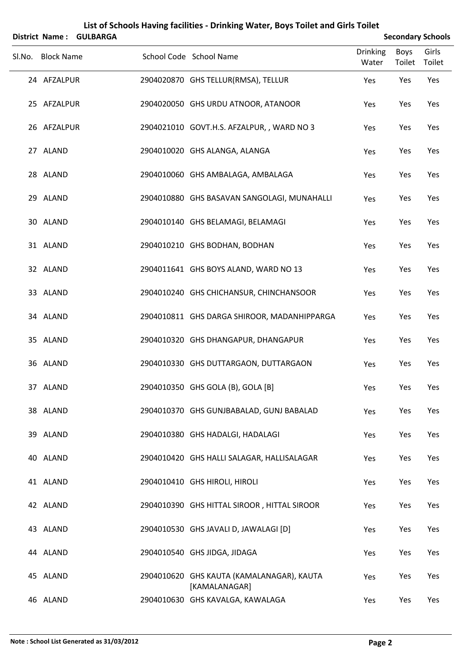|                   | District Name: GULBARGA |                                                            |                          |                | <b>Secondary Schools</b> |
|-------------------|-------------------------|------------------------------------------------------------|--------------------------|----------------|--------------------------|
| Sl.No. Block Name |                         | School Code School Name                                    | <b>Drinking</b><br>Water | Boys<br>Toilet | Girls<br>Toilet          |
| 24 AFZALPUR       |                         | 2904020870 GHS TELLUR(RMSA), TELLUR                        | Yes                      | Yes            | Yes                      |
| 25 AFZALPUR       |                         | 2904020050 GHS URDU ATNOOR, ATANOOR                        | Yes                      | Yes            | Yes                      |
| 26 AFZALPUR       |                         | 2904021010 GOVT.H.S. AFZALPUR, , WARD NO 3                 | Yes                      | Yes            | Yes                      |
| 27 ALAND          |                         | 2904010020 GHS ALANGA, ALANGA                              | Yes                      | Yes            | Yes                      |
| 28 ALAND          |                         | 2904010060 GHS AMBALAGA, AMBALAGA                          | Yes                      | Yes            | Yes                      |
| 29 ALAND          |                         | 2904010880 GHS BASAVAN SANGOLAGI, MUNAHALLI                | Yes                      | Yes            | Yes                      |
| 30 ALAND          |                         | 2904010140 GHS BELAMAGI, BELAMAGI                          | Yes                      | Yes            | Yes                      |
| 31 ALAND          |                         | 2904010210 GHS BODHAN, BODHAN                              | Yes                      | Yes            | Yes                      |
| 32 ALAND          |                         | 2904011641 GHS BOYS ALAND, WARD NO 13                      | Yes                      | Yes            | Yes                      |
| 33 ALAND          |                         | 2904010240 GHS CHICHANSUR, CHINCHANSOOR                    | Yes                      | Yes            | Yes                      |
| 34 ALAND          |                         | 2904010811 GHS DARGA SHIROOR, MADANHIPPARGA                | Yes                      | Yes            | Yes                      |
| 35 ALAND          |                         | 2904010320 GHS DHANGAPUR, DHANGAPUR                        | Yes                      | Yes            | Yes                      |
| 36 ALAND          |                         | 2904010330 GHS DUTTARGAON, DUTTARGAON                      | Yes                      | Yes            | Yes                      |
| 37 ALAND          |                         | 2904010350 GHS GOLA (B), GOLA [B]                          | Yes                      | Yes            | Yes                      |
| 38 ALAND          |                         | 2904010370 GHS GUNJBABALAD, GUNJ BABALAD                   | Yes                      | Yes            | Yes                      |
| 39 ALAND          |                         | 2904010380 GHS HADALGI, HADALAGI                           | Yes                      | Yes            | Yes                      |
| 40 ALAND          |                         | 2904010420 GHS HALLI SALAGAR, HALLISALAGAR                 | Yes                      | Yes            | Yes                      |
| 41 ALAND          |                         | 2904010410 GHS HIROLI, HIROLI                              | Yes                      | Yes            | Yes                      |
| 42 ALAND          |                         | 2904010390 GHS HITTAL SIROOR, HITTAL SIROOR                | Yes                      | Yes            | Yes                      |
| 43 ALAND          |                         | 2904010530 GHS JAVALI D, JAWALAGI [D]                      | Yes                      | Yes            | Yes                      |
| 44 ALAND          |                         | 2904010540 GHS JIDGA, JIDAGA                               | Yes                      | Yes            | Yes                      |
| 45 ALAND          |                         | 2904010620 GHS KAUTA (KAMALANAGAR), KAUTA<br>[KAMALANAGAR] | Yes                      | Yes            | Yes                      |
| 46 ALAND          |                         | 2904010630 GHS KAVALGA, KAWALAGA                           | Yes                      | Yes            | Yes                      |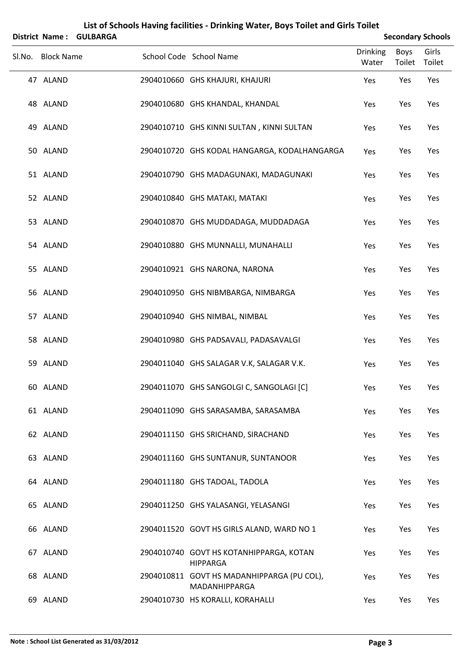|                   | District Name: GULBARGA |                                                             |                          |                       | <b>Secondary Schools</b> |
|-------------------|-------------------------|-------------------------------------------------------------|--------------------------|-----------------------|--------------------------|
| Sl.No. Block Name |                         | School Code School Name                                     | <b>Drinking</b><br>Water | <b>Boys</b><br>Toilet | Girls<br>Toilet          |
| 47 ALAND          |                         | 2904010660 GHS KHAJURI, KHAJURI                             | Yes                      | Yes                   | Yes                      |
| 48 ALAND          |                         | 2904010680 GHS KHANDAL, KHANDAL                             | Yes                      | Yes                   | Yes                      |
| 49 ALAND          |                         | 2904010710 GHS KINNI SULTAN, KINNI SULTAN                   | Yes                      | Yes                   | Yes                      |
| 50 ALAND          |                         | 2904010720 GHS KODAL HANGARGA, KODALHANGARGA                | Yes                      | Yes                   | Yes                      |
| 51 ALAND          |                         | 2904010790 GHS MADAGUNAKI, MADAGUNAKI                       | Yes                      | Yes                   | Yes                      |
| 52 ALAND          |                         | 2904010840 GHS MATAKI, MATAKI                               | Yes                      | Yes                   | Yes                      |
| 53 ALAND          |                         | 2904010870 GHS MUDDADAGA, MUDDADAGA                         | Yes                      | Yes                   | Yes                      |
| 54 ALAND          |                         | 2904010880 GHS MUNNALLI, MUNAHALLI                          | Yes                      | Yes                   | Yes                      |
| 55 ALAND          |                         | 2904010921 GHS NARONA, NARONA                               | Yes                      | Yes                   | Yes                      |
| 56 ALAND          |                         | 2904010950 GHS NIBMBARGA, NIMBARGA                          | Yes                      | Yes                   | Yes                      |
| 57 ALAND          |                         | 2904010940 GHS NIMBAL, NIMBAL                               | Yes                      | Yes                   | Yes                      |
| 58 ALAND          |                         | 2904010980 GHS PADSAVALI, PADASAVALGI                       | Yes                      | Yes                   | Yes                      |
| 59 ALAND          |                         | 2904011040 GHS SALAGAR V.K, SALAGAR V.K.                    | Yes                      | Yes                   | Yes                      |
| 60 ALAND          |                         | 2904011070 GHS SANGOLGI C, SANGOLAGI [C]                    | Yes                      | Yes                   | Yes                      |
| 61 ALAND          |                         | 2904011090 GHS SARASAMBA, SARASAMBA                         | Yes                      | Yes                   | Yes                      |
| 62 ALAND          |                         | 2904011150 GHS SRICHAND, SIRACHAND                          | Yes                      | Yes                   | Yes                      |
| 63 ALAND          |                         | 2904011160 GHS SUNTANUR, SUNTANOOR                          | Yes                      | Yes                   | Yes                      |
| 64 ALAND          |                         | 2904011180 GHS TADOAL, TADOLA                               | Yes                      | Yes                   | Yes                      |
| 65 ALAND          |                         | 2904011250 GHS YALASANGI, YELASANGI                         | Yes                      | Yes                   | Yes                      |
| 66 ALAND          |                         | 2904011520 GOVT HS GIRLS ALAND, WARD NO 1                   | Yes                      | Yes                   | Yes                      |
| 67 ALAND          |                         | 2904010740 GOVT HS KOTANHIPPARGA, KOTAN<br><b>HIPPARGA</b>  | Yes                      | Yes                   | Yes                      |
| 68 ALAND          |                         | 2904010811 GOVT HS MADANHIPPARGA (PU COL),<br>MADANHIPPARGA | Yes                      | Yes                   | Yes                      |
| 69 ALAND          |                         | 2904010730 HS KORALLI, KORAHALLI                            | Yes                      | Yes                   | Yes                      |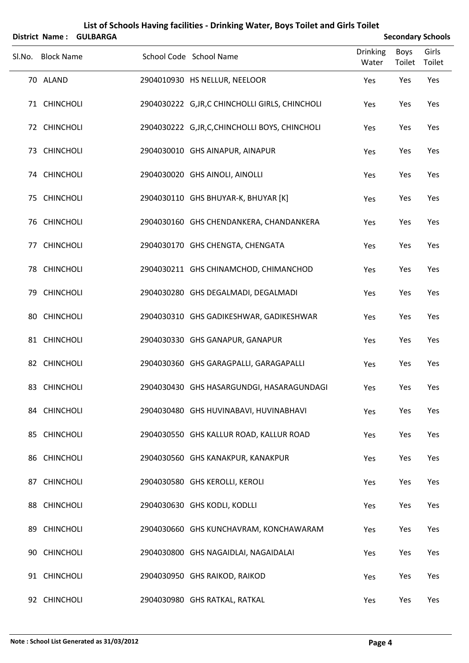|        |                   | District Name: GULBARGA |                                                 |                          |                | <b>Secondary Schools</b> |
|--------|-------------------|-------------------------|-------------------------------------------------|--------------------------|----------------|--------------------------|
| SI.No. | <b>Block Name</b> |                         | School Code School Name                         | <b>Drinking</b><br>Water | Boys<br>Toilet | Girls<br>Toilet          |
|        | 70 ALAND          |                         | 2904010930 HS NELLUR, NEELOOR                   | Yes                      | Yes            | Yes                      |
|        | 71 CHINCHOLI      |                         | 2904030222 G, JR, C CHINCHOLLI GIRLS, CHINCHOLI | Yes                      | Yes            | Yes                      |
|        | 72 CHINCHOLI      |                         | 2904030222 G, JR, C, CHINCHOLLI BOYS, CHINCHOLI | Yes                      | Yes            | Yes                      |
|        | 73 CHINCHOLI      |                         | 2904030010 GHS AINAPUR, AINAPUR                 | Yes                      | Yes            | Yes                      |
|        | 74 CHINCHOLI      |                         | 2904030020 GHS AINOLI, AINOLLI                  | Yes                      | Yes            | Yes                      |
|        | 75 CHINCHOLI      |                         | 2904030110 GHS BHUYAR-K, BHUYAR [K]             | Yes                      | Yes            | Yes                      |
|        | 76 CHINCHOLI      |                         | 2904030160 GHS CHENDANKERA, CHANDANKERA         | Yes                      | Yes            | Yes                      |
|        | 77 CHINCHOLI      |                         | 2904030170 GHS CHENGTA, CHENGATA                | Yes                      | Yes            | Yes                      |
|        | 78 CHINCHOLI      |                         | 2904030211 GHS CHINAMCHOD, CHIMANCHOD           | Yes                      | Yes            | Yes                      |
|        | 79 CHINCHOLI      |                         | 2904030280 GHS DEGALMADI, DEGALMADI             | Yes                      | Yes            | Yes                      |
|        | 80 CHINCHOLI      |                         | 2904030310 GHS GADIKESHWAR, GADIKESHWAR         | Yes                      | Yes            | Yes                      |
|        | 81 CHINCHOLI      |                         | 2904030330 GHS GANAPUR, GANAPUR                 | Yes                      | Yes            | Yes                      |
|        | 82 CHINCHOLI      |                         | 2904030360 GHS GARAGPALLI, GARAGAPALLI          | Yes                      | Yes            | Yes                      |
|        | 83 CHINCHOLI      |                         | 2904030430 GHS HASARGUNDGI, HASARAGUNDAGI       | Yes                      | Yes            | Yes                      |
|        | 84 CHINCHOLI      |                         | 2904030480 GHS HUVINABAVI, HUVINABHAVI          | Yes                      | Yes            | Yes                      |
|        | 85 CHINCHOLI      |                         | 2904030550 GHS KALLUR ROAD, KALLUR ROAD         | Yes                      | Yes            | Yes                      |
|        | 86 CHINCHOLI      |                         | 2904030560 GHS KANAKPUR, KANAKPUR               | Yes                      | Yes            | Yes                      |
|        | 87 CHINCHOLI      |                         | 2904030580 GHS KEROLLI, KEROLI                  | Yes                      | Yes            | Yes                      |
|        | 88 CHINCHOLI      |                         | 2904030630 GHS KODLI, KODLLI                    | Yes                      | Yes            | Yes                      |
|        | 89 CHINCHOLI      |                         | 2904030660 GHS KUNCHAVRAM, KONCHAWARAM          | Yes                      | Yes            | Yes                      |
|        | 90 CHINCHOLI      |                         | 2904030800 GHS NAGAIDLAI, NAGAIDALAI            | Yes                      | Yes            | Yes                      |
|        | 91 CHINCHOLI      |                         | 2904030950 GHS RAIKOD, RAIKOD                   | Yes                      | Yes            | Yes                      |
|        | 92 CHINCHOLI      |                         | 2904030980 GHS RATKAL, RATKAL                   | Yes                      | Yes            | Yes                      |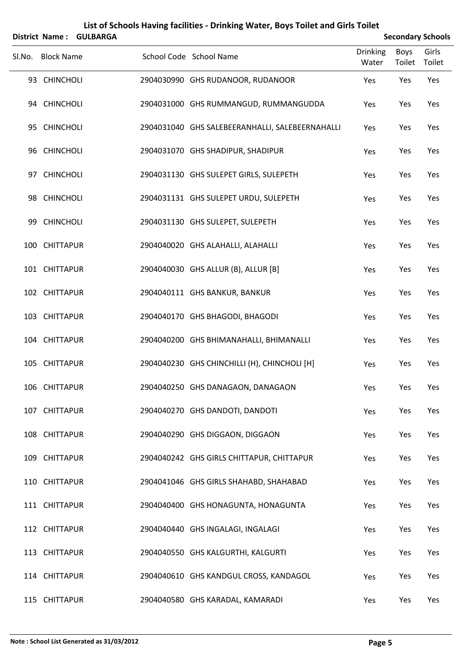|    | List of Schools Having facilities - Drinking Water, Boys Toilet and Girls Toilet<br><b>Secondary Schools</b><br><b>District Name:</b> |                 |  |                                                 |                          |                |                 |  |  |  |  |
|----|---------------------------------------------------------------------------------------------------------------------------------------|-----------------|--|-------------------------------------------------|--------------------------|----------------|-----------------|--|--|--|--|
|    |                                                                                                                                       | <b>GULBARGA</b> |  |                                                 |                          |                |                 |  |  |  |  |
|    | Sl.No. Block Name                                                                                                                     |                 |  | School Code School Name                         | <b>Drinking</b><br>Water | Boys<br>Toilet | Girls<br>Toilet |  |  |  |  |
|    | 93 CHINCHOLI                                                                                                                          |                 |  | 2904030990 GHS RUDANOOR, RUDANOOR               | Yes                      | Yes            | Yes             |  |  |  |  |
|    | 94 CHINCHOLI                                                                                                                          |                 |  | 2904031000 GHS RUMMANGUD, RUMMANGUDDA           | Yes                      | Yes            | Yes             |  |  |  |  |
|    | 95 CHINCHOLI                                                                                                                          |                 |  | 2904031040 GHS SALEBEERANHALLI, SALEBEERNAHALLI | Yes                      | Yes            | Yes             |  |  |  |  |
|    | 96 CHINCHOLI                                                                                                                          |                 |  | 2904031070 GHS SHADIPUR, SHADIPUR               | Yes                      | Yes            | Yes             |  |  |  |  |
|    | 97 CHINCHOLI                                                                                                                          |                 |  | 2904031130 GHS SULEPET GIRLS, SULEPETH          | Yes                      | Yes            | Yes             |  |  |  |  |
|    | 98 CHINCHOLI                                                                                                                          |                 |  | 2904031131 GHS SULEPET URDU, SULEPETH           | Yes                      | Yes            | Yes             |  |  |  |  |
| 99 | <b>CHINCHOLI</b>                                                                                                                      |                 |  | 2904031130 GHS SULEPET, SULEPETH                | Yes                      | Yes            | Yes             |  |  |  |  |
|    | 100 CHITTAPUR                                                                                                                         |                 |  | 2904040020 GHS ALAHALLI, ALAHALLI               | Yes                      | Yes            | Yes             |  |  |  |  |
|    | 101 CHITTAPUR                                                                                                                         |                 |  | 2904040030 GHS ALLUR (B), ALLUR [B]             | Yes                      | Yes            | Yes             |  |  |  |  |
|    | 102 CHITTAPUR                                                                                                                         |                 |  | 2904040111 GHS BANKUR, BANKUR                   | Yes                      | Yes            | Yes             |  |  |  |  |
|    | 103 CHITTAPUR                                                                                                                         |                 |  | 2904040170 GHS BHAGODI, BHAGODI                 | Yes                      | Yes            | Yes             |  |  |  |  |
|    | 104 CHITTAPUR                                                                                                                         |                 |  | 2904040200 GHS BHIMANAHALLI, BHIMANALLI         | Yes                      | Yes            | Yes             |  |  |  |  |
|    | 105 CHITTAPUR                                                                                                                         |                 |  | 2904040230 GHS CHINCHILLI (H), CHINCHOLI [H]    | Yes                      | Yes            | Yes             |  |  |  |  |
|    | 106 CHITTAPUR                                                                                                                         |                 |  | 2904040250 GHS DANAGAON, DANAGAON               | Yes                      | Yes            | Yes             |  |  |  |  |
|    | 107 CHITTAPUR                                                                                                                         |                 |  | 2904040270 GHS DANDOTI, DANDOTI                 | Yes                      | Yes            | Yes             |  |  |  |  |
|    | 108 CHITTAPUR                                                                                                                         |                 |  | 2904040290 GHS DIGGAON, DIGGAON                 | Yes                      | Yes            | Yes             |  |  |  |  |
|    | 109 CHITTAPUR                                                                                                                         |                 |  | 2904040242 GHS GIRLS CHITTAPUR, CHITTAPUR       | Yes                      | Yes            | Yes             |  |  |  |  |
|    | 110 CHITTAPUR                                                                                                                         |                 |  | 2904041046 GHS GIRLS SHAHABD, SHAHABAD          | Yes                      | Yes            | Yes             |  |  |  |  |
|    | 111 CHITTAPUR                                                                                                                         |                 |  | 2904040400 GHS HONAGUNTA, HONAGUNTA             | Yes                      | Yes            | Yes             |  |  |  |  |
|    | 112 CHITTAPUR                                                                                                                         |                 |  | 2904040440 GHS INGALAGI, INGALAGI               | Yes                      | Yes            | Yes             |  |  |  |  |
|    | 113 CHITTAPUR                                                                                                                         |                 |  | 2904040550 GHS KALGURTHI, KALGURTI              | Yes                      | Yes            | Yes             |  |  |  |  |
|    | 114 CHITTAPUR                                                                                                                         |                 |  | 2904040610 GHS KANDGUL CROSS, KANDAGOL          | Yes                      | Yes            | Yes             |  |  |  |  |
|    | 115 CHITTAPUR                                                                                                                         |                 |  | 2904040580 GHS KARADAL, KAMARADI                | Yes                      | Yes            | Yes             |  |  |  |  |

#### **Note : School List Generated as 31/03/2012 Page 5**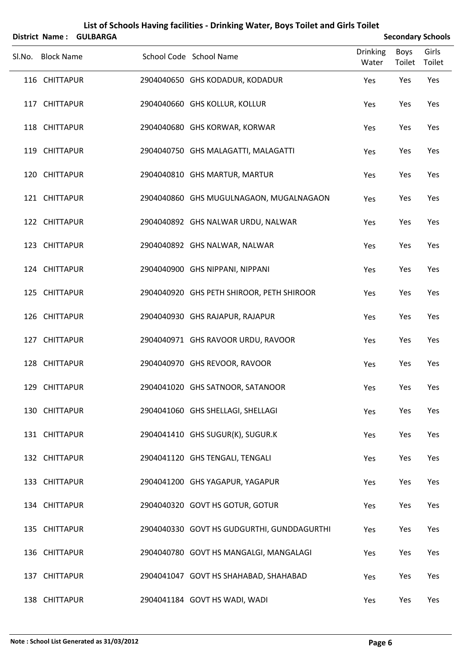|                   | District Name: GULBARGA |                                            |                          |                | <b>Secondary Schools</b> |
|-------------------|-------------------------|--------------------------------------------|--------------------------|----------------|--------------------------|
| Sl.No. Block Name |                         | School Code School Name                    | <b>Drinking</b><br>Water | Boys<br>Toilet | Girls<br>Toilet          |
| 116 CHITTAPUR     |                         | 2904040650 GHS KODADUR, KODADUR            | Yes                      | Yes            | Yes                      |
| 117 CHITTAPUR     |                         | 2904040660 GHS KOLLUR, KOLLUR              | Yes                      | Yes            | Yes                      |
| 118 CHITTAPUR     |                         | 2904040680 GHS KORWAR, KORWAR              | Yes                      | Yes            | Yes                      |
| 119 CHITTAPUR     |                         | 2904040750 GHS MALAGATTI, MALAGATTI        | Yes                      | Yes            | Yes                      |
| 120 CHITTAPUR     |                         | 2904040810 GHS MARTUR, MARTUR              | Yes                      | Yes            | Yes                      |
| 121 CHITTAPUR     |                         | 2904040860 GHS MUGULNAGAON, MUGALNAGAON    | Yes                      | Yes            | Yes                      |
| 122 CHITTAPUR     |                         | 2904040892 GHS NALWAR URDU, NALWAR         | Yes                      | Yes            | Yes                      |
| 123 CHITTAPUR     |                         | 2904040892 GHS NALWAR, NALWAR              | Yes                      | Yes            | Yes                      |
| 124 CHITTAPUR     |                         | 2904040900 GHS NIPPANI, NIPPANI            | Yes                      | Yes            | Yes                      |
| 125 CHITTAPUR     |                         | 2904040920 GHS PETH SHIROOR, PETH SHIROOR  | Yes                      | Yes            | Yes                      |
| 126 CHITTAPUR     |                         | 2904040930 GHS RAJAPUR, RAJAPUR            | Yes                      | Yes            | Yes                      |
| 127 CHITTAPUR     |                         | 2904040971 GHS RAVOOR URDU, RAVOOR         | Yes                      | Yes            | Yes                      |
| 128 CHITTAPUR     |                         | 2904040970 GHS REVOOR, RAVOOR              | Yes                      | Yes            | Yes                      |
| 129 CHITTAPUR     |                         | 2904041020 GHS SATNOOR, SATANOOR           | Yes                      | Yes            | Yes                      |
| 130 CHITTAPUR     |                         | 2904041060 GHS SHELLAGI, SHELLAGI          | Yes                      | Yes            | Yes                      |
| 131 CHITTAPUR     |                         | 2904041410 GHS SUGUR(K), SUGUR.K           | Yes                      | Yes            | Yes                      |
| 132 CHITTAPUR     |                         | 2904041120 GHS TENGALI, TENGALI            | Yes                      | Yes            | Yes                      |
| 133 CHITTAPUR     |                         | 2904041200 GHS YAGAPUR, YAGAPUR            | Yes                      | Yes            | Yes                      |
| 134 CHITTAPUR     |                         | 2904040320 GOVT HS GOTUR, GOTUR            | Yes                      | Yes            | Yes                      |
| 135 CHITTAPUR     |                         | 2904040330 GOVT HS GUDGURTHI, GUNDDAGURTHI | Yes                      | Yes            | Yes                      |
| 136 CHITTAPUR     |                         | 2904040780 GOVT HS MANGALGI, MANGALAGI     | Yes                      | Yes            | Yes                      |
| 137 CHITTAPUR     |                         | 2904041047 GOVT HS SHAHABAD, SHAHABAD      | Yes                      | Yes            | Yes                      |
| 138 CHITTAPUR     |                         | 2904041184 GOVT HS WADI, WADI              | Yes                      | Yes            | Yes                      |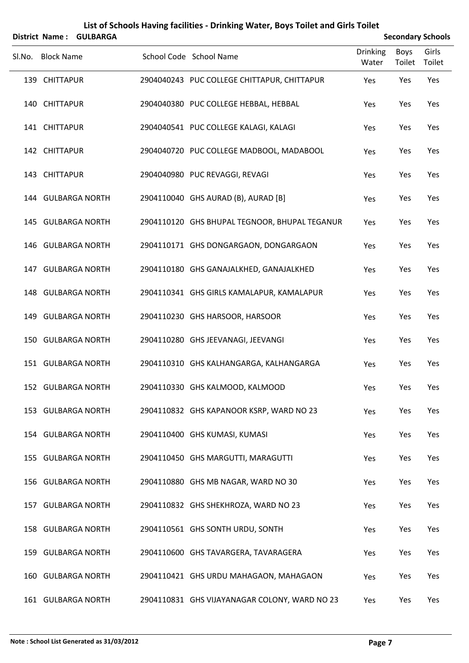|        |                   | District Name: GULBARGA |                                               |                          |                | <b>Secondary Schools</b> |
|--------|-------------------|-------------------------|-----------------------------------------------|--------------------------|----------------|--------------------------|
| Sl.No. | <b>Block Name</b> |                         | School Code School Name                       | <b>Drinking</b><br>Water | Boys<br>Toilet | Girls<br>Toilet          |
|        | 139 CHITTAPUR     |                         | 2904040243 PUC COLLEGE CHITTAPUR, CHITTAPUR   | Yes                      | Yes            | Yes                      |
|        | 140 CHITTAPUR     |                         | 2904040380 PUC COLLEGE HEBBAL, HEBBAL         | Yes                      | Yes            | Yes                      |
|        | 141 CHITTAPUR     |                         | 2904040541 PUC COLLEGE KALAGI, KALAGI         | Yes                      | Yes            | Yes                      |
|        | 142 CHITTAPUR     |                         | 2904040720 PUC COLLEGE MADBOOL, MADABOOL      | Yes                      | Yes            | Yes                      |
|        | 143 CHITTAPUR     |                         | 2904040980 PUC REVAGGI, REVAGI                | Yes                      | Yes            | Yes                      |
|        |                   | 144 GULBARGA NORTH      | 2904110040 GHS AURAD (B), AURAD [B]           | Yes                      | Yes            | Yes                      |
|        |                   | 145 GULBARGA NORTH      | 2904110120 GHS BHUPAL TEGNOOR, BHUPAL TEGANUR | Yes                      | Yes            | Yes                      |
|        |                   | 146 GULBARGA NORTH      | 2904110171 GHS DONGARGAON, DONGARGAON         | Yes                      | Yes            | Yes                      |
|        |                   | 147 GULBARGA NORTH      | 2904110180 GHS GANAJALKHED, GANAJALKHED       | Yes                      | Yes            | Yes                      |
|        |                   | 148 GULBARGA NORTH      | 2904110341 GHS GIRLS KAMALAPUR, KAMALAPUR     | Yes                      | Yes            | Yes                      |
|        |                   | 149 GULBARGA NORTH      | 2904110230 GHS HARSOOR, HARSOOR               | Yes                      | Yes            | Yes                      |
|        |                   | 150 GULBARGA NORTH      | 2904110280 GHS JEEVANAGI, JEEVANGI            | Yes                      | Yes            | Yes                      |
|        |                   | 151 GULBARGA NORTH      | 2904110310 GHS KALHANGARGA, KALHANGARGA       | Yes                      | Yes            | Yes                      |
|        |                   | 152 GULBARGA NORTH      | 2904110330 GHS KALMOOD, KALMOOD               | Yes                      | Yes            | Yes                      |
|        |                   | 153 GULBARGA NORTH      | 2904110832 GHS KAPANOOR KSRP, WARD NO 23      | Yes                      | Yes            | Yes                      |
|        |                   | 154 GULBARGA NORTH      | 2904110400 GHS KUMASI, KUMASI                 | Yes                      | Yes            | Yes                      |
|        |                   | 155 GULBARGA NORTH      | 2904110450 GHS MARGUTTI, MARAGUTTI            | Yes                      | Yes            | Yes                      |
|        |                   | 156 GULBARGA NORTH      | 2904110880 GHS MB NAGAR, WARD NO 30           | Yes                      | Yes            | Yes                      |
|        |                   | 157 GULBARGA NORTH      | 2904110832 GHS SHEKHROZA, WARD NO 23          | Yes                      | Yes            | Yes                      |
|        |                   | 158 GULBARGA NORTH      | 2904110561 GHS SONTH URDU, SONTH              | Yes                      | Yes            | Yes                      |
|        |                   | 159 GULBARGA NORTH      | 2904110600 GHS TAVARGERA, TAVARAGERA          | Yes                      | Yes            | Yes                      |
|        |                   | 160 GULBARGA NORTH      | 2904110421 GHS URDU MAHAGAON, MAHAGAON        | Yes                      | Yes            | Yes                      |
|        |                   | 161 GULBARGA NORTH      | 2904110831 GHS VIJAYANAGAR COLONY, WARD NO 23 | Yes                      | Yes            | Yes                      |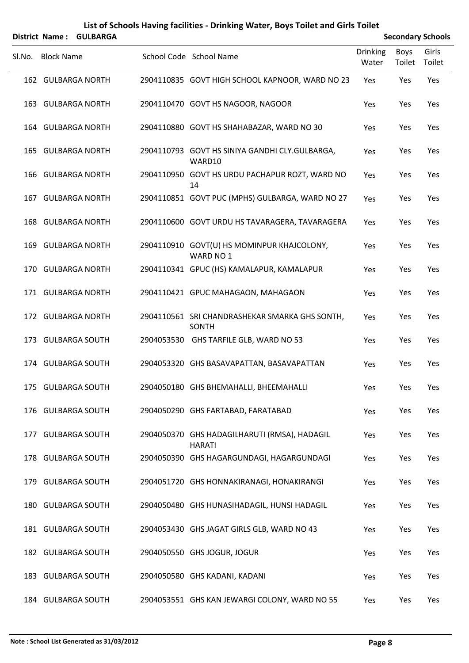|     | District Name: GULBARGA |  | <b>Secondary Schools</b>                                       |                          |                |                 |
|-----|-------------------------|--|----------------------------------------------------------------|--------------------------|----------------|-----------------|
|     | SI.No. Block Name       |  | School Code School Name                                        | <b>Drinking</b><br>Water | Boys<br>Toilet | Girls<br>Toilet |
|     | 162 GULBARGA NORTH      |  | 2904110835 GOVT HIGH SCHOOL KAPNOOR, WARD NO 23                | Yes                      | Yes            | Yes             |
|     | 163 GULBARGA NORTH      |  | 2904110470 GOVT HS NAGOOR, NAGOOR                              | Yes                      | Yes            | Yes             |
|     | 164 GULBARGA NORTH      |  | 2904110880 GOVT HS SHAHABAZAR, WARD NO 30                      | Yes                      | Yes            | Yes             |
| 165 | <b>GULBARGA NORTH</b>   |  | 2904110793 GOVT HS SINIYA GANDHI CLY.GULBARGA,<br>WARD10       | Yes                      | Yes            | Yes             |
|     | 166 GULBARGA NORTH      |  | 2904110950 GOVT HS URDU PACHAPUR ROZT, WARD NO<br>14           | Yes                      | Yes            | Yes             |
|     | 167 GULBARGA NORTH      |  | 2904110851 GOVT PUC (MPHS) GULBARGA, WARD NO 27                | Yes                      | Yes            | Yes             |
|     | 168 GULBARGA NORTH      |  | 2904110600 GOVT URDU HS TAVARAGERA, TAVARAGERA                 | Yes                      | Yes            | Yes             |
| 169 | <b>GULBARGA NORTH</b>   |  | 2904110910 GOVT(U) HS MOMINPUR KHAJCOLONY,<br>WARD NO 1        | Yes                      | Yes            | Yes             |
|     | 170 GULBARGA NORTH      |  | 2904110341 GPUC (HS) KAMALAPUR, KAMALAPUR                      | Yes                      | Yes            | Yes             |
|     | 171 GULBARGA NORTH      |  | 2904110421 GPUC MAHAGAON, MAHAGAON                             | Yes                      | Yes            | Yes             |
|     | 172 GULBARGA NORTH      |  | 2904110561 SRI CHANDRASHEKAR SMARKA GHS SONTH,<br><b>SONTH</b> | Yes                      | Yes            | Yes             |
|     | 173 GULBARGA SOUTH      |  | 2904053530 GHS TARFILE GLB, WARD NO 53                         | Yes                      | Yes            | Yes             |
|     | 174 GULBARGA SOUTH      |  | 2904053320 GHS BASAVAPATTAN, BASAVAPATTAN                      | Yes                      | Yes            | Yes             |
|     | 175 GULBARGA SOUTH      |  | 2904050180 GHS BHEMAHALLI, BHEEMAHALLI                         | Yes                      | Yes            | Yes             |
|     | 176 GULBARGA SOUTH      |  | 2904050290 GHS FARTABAD, FARATABAD                             | Yes                      | Yes            | Yes             |
|     | 177 GULBARGA SOUTH      |  | 2904050370 GHS HADAGILHARUTI (RMSA), HADAGIL<br><b>HARATI</b>  | Yes                      | Yes            | Yes             |
|     | 178 GULBARGA SOUTH      |  | 2904050390 GHS HAGARGUNDAGI, HAGARGUNDAGI                      | Yes                      | Yes            | Yes             |
|     | 179 GULBARGA SOUTH      |  | 2904051720 GHS HONNAKIRANAGI, HONAKIRANGI                      | Yes                      | Yes            | Yes             |
|     | 180 GULBARGA SOUTH      |  | 2904050480 GHS HUNASIHADAGIL, HUNSI HADAGIL                    | Yes                      | Yes            | Yes             |
|     | 181 GULBARGA SOUTH      |  | 2904053430 GHS JAGAT GIRLS GLB, WARD NO 43                     | Yes                      | Yes            | Yes             |
|     | 182 GULBARGA SOUTH      |  | 2904050550 GHS JOGUR, JOGUR                                    | Yes                      | Yes            | Yes             |
|     | 183 GULBARGA SOUTH      |  | 2904050580 GHS KADANI, KADANI                                  | Yes                      | Yes            | Yes             |
|     | 184 GULBARGA SOUTH      |  | 2904053551 GHS KAN JEWARGI COLONY, WARD NO 55                  | Yes                      | Yes            | Yes             |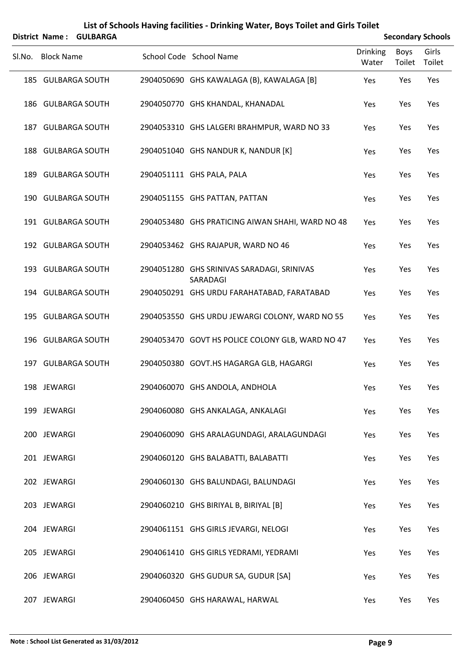| District Name: GULBARGA |  |                                                        |                          | <b>Secondary Schools</b> |                 |  |  |
|-------------------------|--|--------------------------------------------------------|--------------------------|--------------------------|-----------------|--|--|
| SI.No. Block Name       |  | School Code School Name                                | <b>Drinking</b><br>Water | Boys<br>Toilet           | Girls<br>Toilet |  |  |
| 185 GULBARGA SOUTH      |  | 2904050690 GHS KAWALAGA (B), KAWALAGA [B]              | Yes                      | Yes                      | Yes             |  |  |
| 186 GULBARGA SOUTH      |  | 2904050770 GHS KHANDAL, KHANADAL                       | Yes                      | Yes                      | Yes             |  |  |
| 187 GULBARGA SOUTH      |  | 2904053310 GHS LALGERI BRAHMPUR, WARD NO 33            | Yes                      | Yes                      | Yes             |  |  |
| 188 GULBARGA SOUTH      |  | 2904051040 GHS NANDUR K, NANDUR [K]                    | Yes                      | Yes                      | Yes             |  |  |
| 189 GULBARGA SOUTH      |  | 2904051111 GHS PALA, PALA                              | Yes                      | Yes                      | Yes             |  |  |
| 190 GULBARGA SOUTH      |  | 2904051155 GHS PATTAN, PATTAN                          | Yes                      | Yes                      | Yes             |  |  |
| 191 GULBARGA SOUTH      |  | 2904053480 GHS PRATICING AIWAN SHAHI, WARD NO 48       | Yes                      | Yes                      | Yes             |  |  |
| 192 GULBARGA SOUTH      |  | 2904053462 GHS RAJAPUR, WARD NO 46                     | Yes                      | Yes                      | Yes             |  |  |
| 193 GULBARGA SOUTH      |  | 2904051280 GHS SRINIVAS SARADAGI, SRINIVAS<br>SARADAGI | Yes                      | Yes                      | Yes             |  |  |
| 194 GULBARGA SOUTH      |  | 2904050291 GHS URDU FARAHATABAD, FARATABAD             | Yes                      | Yes                      | Yes             |  |  |
| 195 GULBARGA SOUTH      |  | 2904053550 GHS URDU JEWARGI COLONY, WARD NO 55         | Yes                      | Yes                      | Yes             |  |  |
| 196 GULBARGA SOUTH      |  | 2904053470 GOVT HS POLICE COLONY GLB, WARD NO 47       | Yes                      | Yes                      | Yes             |  |  |
| 197 GULBARGA SOUTH      |  | 2904050380 GOVT.HS HAGARGA GLB, HAGARGI                | Yes                      | Yes                      | Yes             |  |  |
| 198 JEWARGI             |  | 2904060070 GHS ANDOLA, ANDHOLA                         | Yes                      | Yes                      | Yes             |  |  |
| 199 JEWARGI             |  | 2904060080 GHS ANKALAGA, ANKALAGI                      | Yes                      | Yes                      | Yes             |  |  |
| 200 JEWARGI             |  | 2904060090 GHS ARALAGUNDAGI, ARALAGUNDAGI              | Yes                      | Yes                      | Yes             |  |  |
| 201 JEWARGI             |  | 2904060120 GHS BALABATTI, BALABATTI                    | Yes                      | Yes                      | Yes             |  |  |
| 202 JEWARGI             |  | 2904060130 GHS BALUNDAGI, BALUNDAGI                    | Yes                      | Yes                      | Yes             |  |  |
| 203 JEWARGI             |  | 2904060210 GHS BIRIYAL B, BIRIYAL [B]                  | Yes                      | Yes                      | Yes             |  |  |
| 204 JEWARGI             |  | 2904061151 GHS GIRLS JEVARGI, NELOGI                   | Yes                      | Yes                      | Yes             |  |  |
| 205 JEWARGI             |  | 2904061410 GHS GIRLS YEDRAMI, YEDRAMI                  | Yes                      | Yes                      | Yes             |  |  |
| 206 JEWARGI             |  | 2904060320 GHS GUDUR SA, GUDUR [SA]                    | Yes                      | Yes                      | Yes             |  |  |
| 207 JEWARGI             |  | 2904060450 GHS HARAWAL, HARWAL                         | Yes                      | Yes                      | Yes             |  |  |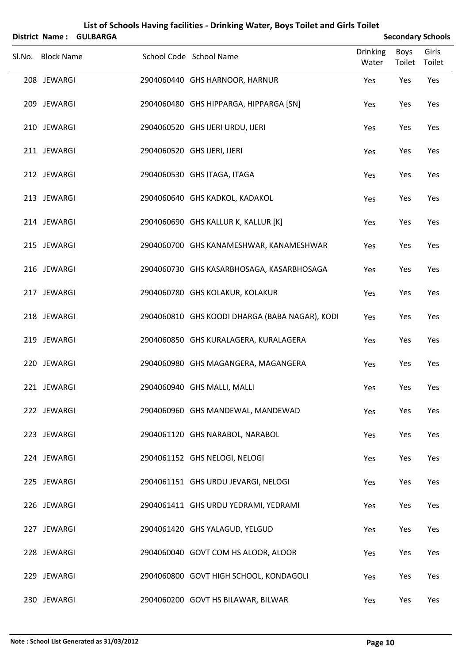|        |                   | District Name: GULBARGA |                                                |                          |                | <b>Secondary Schools</b> |
|--------|-------------------|-------------------------|------------------------------------------------|--------------------------|----------------|--------------------------|
| SI.No. | <b>Block Name</b> |                         | School Code School Name                        | <b>Drinking</b><br>Water | Boys<br>Toilet | Girls<br>Toilet          |
|        | 208 JEWARGI       |                         | 2904060440 GHS HARNOOR, HARNUR                 | Yes                      | Yes            | Yes                      |
|        | 209 JEWARGI       |                         | 2904060480 GHS HIPPARGA, HIPPARGA [SN]         | Yes                      | Yes            | Yes                      |
|        | 210 JEWARGI       |                         | 2904060520 GHS IJERI URDU, IJERI               | Yes                      | Yes            | Yes                      |
|        | 211 JEWARGI       |                         | 2904060520 GHS IJERI, IJERI                    | Yes                      | Yes            | Yes                      |
|        | 212 JEWARGI       |                         | 2904060530 GHS ITAGA, ITAGA                    | Yes                      | Yes            | Yes                      |
|        | 213 JEWARGI       |                         | 2904060640 GHS KADKOL, KADAKOL                 | Yes                      | Yes            | Yes                      |
|        | 214 JEWARGI       |                         | 2904060690 GHS KALLUR K, KALLUR [K]            | Yes                      | Yes            | Yes                      |
|        | 215 JEWARGI       |                         | 2904060700 GHS KANAMESHWAR, KANAMESHWAR        | Yes                      | Yes            | Yes                      |
|        | 216 JEWARGI       |                         | 2904060730 GHS KASARBHOSAGA, KASARBHOSAGA      | Yes                      | Yes            | Yes                      |
|        | 217 JEWARGI       |                         | 2904060780 GHS KOLAKUR, KOLAKUR                | Yes                      | Yes            | Yes                      |
|        | 218 JEWARGI       |                         | 2904060810 GHS KOODI DHARGA (BABA NAGAR), KODI | Yes                      | Yes            | Yes                      |
|        | 219 JEWARGI       |                         | 2904060850 GHS KURALAGERA, KURALAGERA          | Yes                      | Yes            | Yes                      |
|        | 220 JEWARGI       |                         | 2904060980 GHS MAGANGERA, MAGANGERA            | Yes                      | Yes            | Yes                      |
|        | 221 JEWARGI       |                         | 2904060940 GHS MALLI, MALLI                    | Yes                      | Yes            | Yes                      |
|        | 222 JEWARGI       |                         | 2904060960 GHS MANDEWAL, MANDEWAD              | Yes                      | Yes            | Yes                      |
|        | 223 JEWARGI       |                         | 2904061120 GHS NARABOL, NARABOL                | Yes                      | Yes            | Yes                      |
|        | 224 JEWARGI       |                         | 2904061152 GHS NELOGI, NELOGI                  | Yes                      | Yes            | Yes                      |
|        | 225 JEWARGI       |                         | 2904061151 GHS URDU JEVARGI, NELOGI            | Yes                      | Yes            | Yes                      |
|        | 226 JEWARGI       |                         | 2904061411 GHS URDU YEDRAMI, YEDRAMI           | Yes                      | Yes            | Yes                      |
|        | 227 JEWARGI       |                         | 2904061420 GHS YALAGUD, YELGUD                 | Yes                      | Yes            | Yes                      |
|        | 228 JEWARGI       |                         | 2904060040 GOVT COM HS ALOOR, ALOOR            | Yes                      | Yes            | Yes                      |
|        | 229 JEWARGI       |                         | 2904060800 GOVT HIGH SCHOOL, KONDAGOLI         | Yes                      | Yes            | Yes                      |
|        | 230 JEWARGI       |                         | 2904060200 GOVT HS BILAWAR, BILWAR             | Yes                      | Yes            | Yes                      |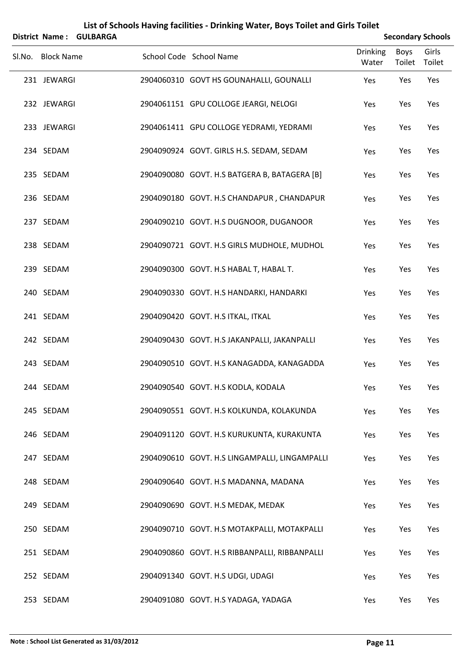|                   | District Name: GULBARGA |                                               |                   |                | <b>Secondary Schools</b> |
|-------------------|-------------------------|-----------------------------------------------|-------------------|----------------|--------------------------|
| Sl.No. Block Name |                         | School Code School Name                       | Drinking<br>Water | Boys<br>Toilet | Girls<br>Toilet          |
| 231 JEWARGI       |                         | 2904060310 GOVT HS GOUNAHALLI, GOUNALLI       | Yes               | Yes            | Yes                      |
| 232 JEWARGI       |                         | 2904061151 GPU COLLOGE JEARGI, NELOGI         | Yes               | Yes            | Yes                      |
| 233 JEWARGI       |                         | 2904061411 GPU COLLOGE YEDRAMI, YEDRAMI       | Yes               | Yes            | Yes                      |
| 234 SEDAM         |                         | 2904090924 GOVT. GIRLS H.S. SEDAM, SEDAM      | Yes               | Yes            | Yes                      |
| 235 SEDAM         |                         | 2904090080 GOVT. H.S BATGERA B, BATAGERA [B]  | Yes               | Yes            | Yes                      |
| 236 SEDAM         |                         | 2904090180 GOVT. H.S CHANDAPUR, CHANDAPUR     | Yes               | Yes            | Yes                      |
| 237 SEDAM         |                         | 2904090210 GOVT. H.S DUGNOOR, DUGANOOR        | Yes               | Yes            | Yes                      |
| 238 SEDAM         |                         | 2904090721 GOVT. H.S GIRLS MUDHOLE, MUDHOL    | Yes               | Yes            | Yes                      |
| 239 SEDAM         |                         | 2904090300 GOVT. H.S HABAL T, HABAL T.        | Yes               | Yes            | Yes                      |
| 240 SEDAM         |                         | 2904090330 GOVT. H.S HANDARKI, HANDARKI       | Yes               | Yes            | Yes                      |
| 241 SEDAM         |                         | 2904090420 GOVT. H.S ITKAL, ITKAL             | Yes               | Yes            | Yes                      |
| 242 SEDAM         |                         | 2904090430 GOVT. H.S JAKANPALLI, JAKANPALLI   | Yes               | Yes            | Yes                      |
| 243 SEDAM         |                         | 2904090510 GOVT. H.S KANAGADDA, KANAGADDA     | Yes               | Yes            | Yes                      |
| 244 SEDAM         |                         | 2904090540 GOVT. H.S KODLA, KODALA            | Yes               | Yes            | Yes                      |
| 245 SEDAM         |                         | 2904090551 GOVT. H.S KOLKUNDA, KOLAKUNDA      | Yes               | Yes            | Yes                      |
| 246 SEDAM         |                         | 2904091120 GOVT. H.S KURUKUNTA, KURAKUNTA     | Yes               | Yes            | Yes                      |
| 247 SEDAM         |                         | 2904090610 GOVT. H.S LINGAMPALLI, LINGAMPALLI | Yes               | Yes            | Yes                      |
| 248 SEDAM         |                         | 2904090640 GOVT. H.S MADANNA, MADANA          | Yes               | Yes            | Yes                      |
| 249 SEDAM         |                         | 2904090690 GOVT. H.S MEDAK, MEDAK             | Yes               | Yes            | Yes                      |
| 250 SEDAM         |                         | 2904090710 GOVT. H.S MOTAKPALLI, MOTAKPALLI   | Yes               | Yes            | Yes                      |
| 251 SEDAM         |                         | 2904090860 GOVT. H.S RIBBANPALLI, RIBBANPALLI | Yes               | Yes            | Yes                      |
| 252 SEDAM         |                         | 2904091340 GOVT. H.S UDGI, UDAGI              | Yes               | Yes            | Yes                      |
| 253 SEDAM         |                         | 2904091080 GOVT. H.S YADAGA, YADAGA           | Yes               | Yes            | Yes                      |